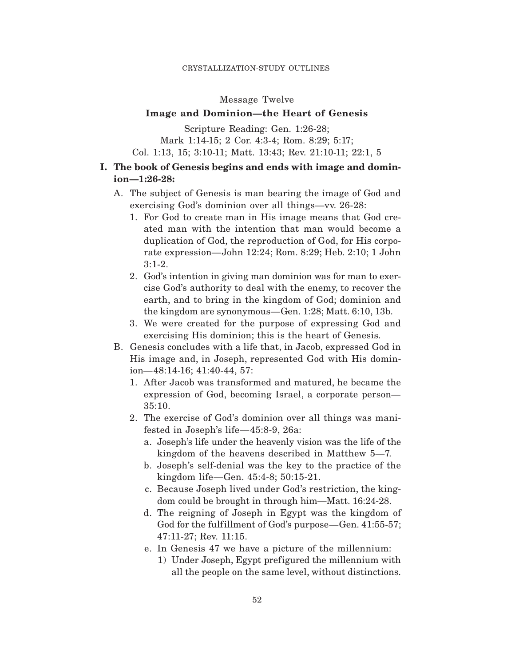## Message Twelve

# **Image and Dominion—the Heart of Genesis**

Scripture Reading: Gen. 1:26-28; Mark 1:14-15; 2 Cor. 4:3-4; Rom. 8:29; 5:17; Col. 1:13, 15; 3:10-11; Matt. 13:43; Rev. 21:10-11; 22:1, 5

# **I. The book of Genesis begins and ends with image and dominion—1:26-28:**

- A. The subject of Genesis is man bearing the image of God and exercising God's dominion over all things—vv. 26-28:
	- 1. For God to create man in His image means that God created man with the intention that man would become a duplication of God, the reproduction of God, for His corporate expression—John 12:24; Rom. 8:29; Heb. 2:10; 1 John 3:1-2.
	- 2. God's intention in giving man dominion was for man to exercise God's authority to deal with the enemy, to recover the earth, and to bring in the kingdom of God; dominion and the kingdom are synonymous—Gen. 1:28; Matt. 6:10, 13b.
	- 3. We were created for the purpose of expressing God and exercising His dominion; this is the heart of Genesis.
- B. Genesis concludes with a life that, in Jacob, expressed God in His image and, in Joseph, represented God with His dominion—48:14-16; 41:40-44, 57:
	- 1. After Jacob was transformed and matured, he became the expression of God, becoming Israel, a corporate person— 35:10.
	- 2. The exercise of God's dominion over all things was manifested in Joseph's life—45:8-9, 26a:
		- a. Joseph's life under the heavenly vision was the life of the kingdom of the heavens described in Matthew 5—7.
		- b. Joseph's self-denial was the key to the practice of the kingdom life—Gen. 45:4-8; 50:15-21.
		- c. Because Joseph lived under God's restriction, the kingdom could be brought in through him—Matt. 16:24-28.
		- d. The reigning of Joseph in Egypt was the kingdom of God for the fulfillment of God's purpose—Gen. 41:55-57; 47:11-27; Rev. 11:15.
		- e. In Genesis 47 we have a picture of the millennium:
			- 1) Under Joseph, Egypt pref igured the millennium with all the people on the same level, without distinctions.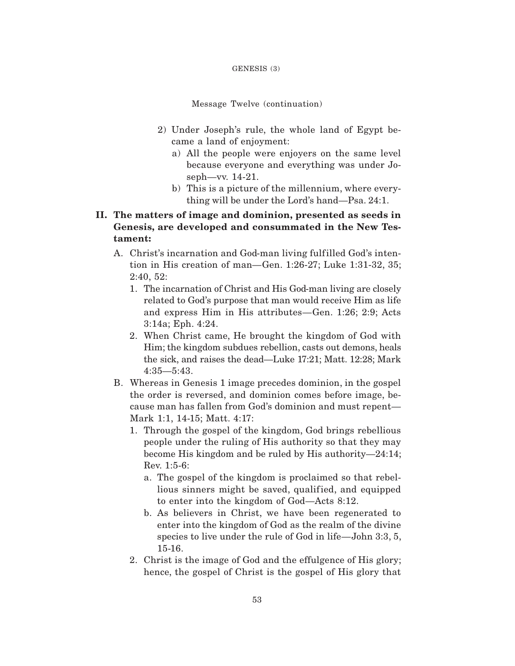#### GENESIS (3)

Message Twelve (continuation)

- 2) Under Joseph's rule, the whole land of Egypt became a land of enjoyment:
	- a) All the people were enjoyers on the same level because everyone and everything was under Joseph—vv. 14-21.
	- b) This is a picture of the millennium, where everything will be under the Lord's hand—Psa. 24:1.
- **II. The matters of image and dominion, presented as seeds in Genesis, are developed and consummated in the New Testament:**
	- A. Christ's incarnation and God-man living fulfilled God's intention in His creation of man—Gen. 1:26-27; Luke 1:31-32, 35; 2:40, 52:
		- 1. The incarnation of Christ and His God-man living are closely related to God's purpose that man would receive Him as life and express Him in His attributes—Gen. 1:26; 2:9; Acts 3:14a; Eph. 4:24.
		- 2. When Christ came, He brought the kingdom of God with Him; the kingdom subdues rebellion, casts out demons, heals the sick, and raises the dead—Luke 17:21; Matt. 12:28; Mark 4:35—5:43.
	- B. Whereas in Genesis 1 image precedes dominion, in the gospel the order is reversed, and dominion comes before image, because man has fallen from God's dominion and must repent— Mark 1:1, 14-15; Matt. 4:17:
		- 1. Through the gospel of the kingdom, God brings rebellious people under the ruling of His authority so that they may become His kingdom and be ruled by His authority—24:14; Rev. 1:5-6:
			- a. The gospel of the kingdom is proclaimed so that rebellious sinners might be saved, qualified, and equipped to enter into the kingdom of God—Acts 8:12.
			- b. As believers in Christ, we have been regenerated to enter into the kingdom of God as the realm of the divine species to live under the rule of God in life—John 3:3, 5, 15-16.
		- 2. Christ is the image of God and the effulgence of His glory; hence, the gospel of Christ is the gospel of His glory that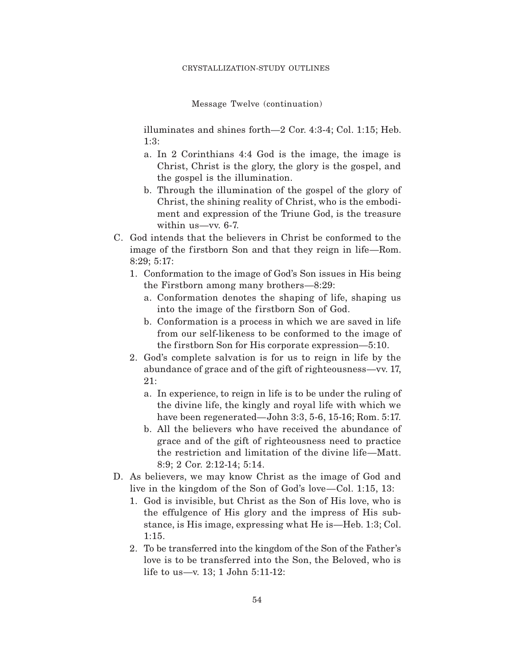Message Twelve (continuation)

illuminates and shines forth—2 Cor. 4:3-4; Col. 1:15; Heb. 1:3:

- a. In 2 Corinthians 4:4 God is the image, the image is Christ, Christ is the glory, the glory is the gospel, and the gospel is the illumination.
- b. Through the illumination of the gospel of the glory of Christ, the shining reality of Christ, who is the embodiment and expression of the Triune God, is the treasure within us—vv. 6-7.
- C. God intends that the believers in Christ be conformed to the image of the firstborn Son and that they reign in life—Rom. 8:29; 5:17:
	- 1. Conformation to the image of God's Son issues in His being the Firstborn among many brothers—8:29:
		- a. Conformation denotes the shaping of life, shaping us into the image of the firstborn Son of God.
		- b. Conformation is a process in which we are saved in life from our self-likeness to be conformed to the image of the firstborn Son for His corporate expression—5:10.
	- 2. God's complete salvation is for us to reign in life by the abundance of grace and of the gift of righteousness—vv. 17, 21:
		- a. In experience, to reign in life is to be under the ruling of the divine life, the kingly and royal life with which we have been regenerated—John 3:3, 5-6, 15-16; Rom. 5:17.
		- b. All the believers who have received the abundance of grace and of the gift of righteousness need to practice the restriction and limitation of the divine life—Matt. 8:9; 2 Cor. 2:12-14; 5:14.
- D. As believers, we may know Christ as the image of God and live in the kingdom of the Son of God's love—Col. 1:15, 13:
	- 1. God is invisible, but Christ as the Son of His love, who is the effulgence of His glory and the impress of His substance, is His image, expressing what He is—Heb. 1:3; Col. 1:15.
	- 2. To be transferred into the kingdom of the Son of the Father's love is to be transferred into the Son, the Beloved, who is life to us—v. 13; 1 John 5:11-12: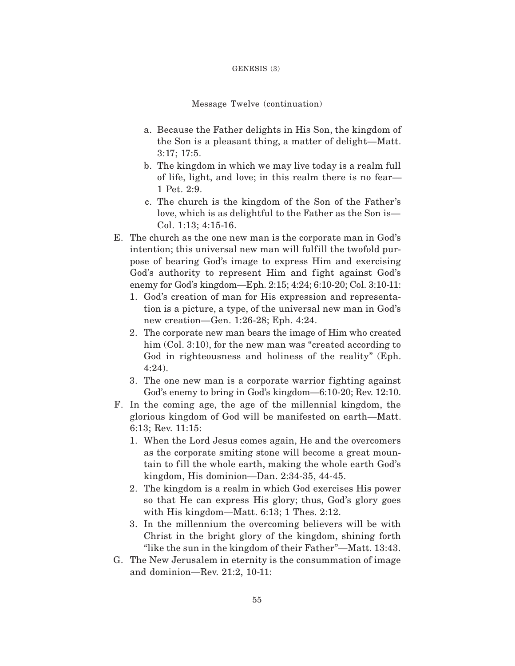#### GENESIS (3)

#### Message Twelve (continuation)

- a. Because the Father delights in His Son, the kingdom of the Son is a pleasant thing, a matter of delight—Matt. 3:17; 17:5.
- b. The kingdom in which we may live today is a realm full of life, light, and love; in this realm there is no fear— 1 Pet. 2:9.
- c. The church is the kingdom of the Son of the Father's love, which is as delightful to the Father as the Son is— Col. 1:13; 4:15-16.
- E. The church as the one new man is the corporate man in God's intention; this universal new man will fulfill the twofold purpose of bearing God's image to express Him and exercising God's authority to represent Him and fight against God's enemy for God's kingdom—Eph. 2:15; 4:24; 6:10-20; Col. 3:10-11:
	- 1. God's creation of man for His expression and representation is a picture, a type, of the universal new man in God's new creation—Gen. 1:26-28; Eph. 4:24.
	- 2. The corporate new man bears the image of Him who created him (Col. 3:10), for the new man was "created according to God in righteousness and holiness of the reality" (Eph. 4:24).
	- 3. The one new man is a corporate warrior fighting against God's enemy to bring in God's kingdom—6:10-20; Rev. 12:10.
- F. In the coming age, the age of the millennial kingdom, the glorious kingdom of God will be manifested on earth—Matt. 6:13; Rev. 11:15:
	- 1. When the Lord Jesus comes again, He and the overcomers as the corporate smiting stone will become a great mountain to fill the whole earth, making the whole earth God's kingdom, His dominion—Dan. 2:34-35, 44-45.
	- 2. The kingdom is a realm in which God exercises His power so that He can express His glory; thus, God's glory goes with His kingdom—Matt. 6:13; 1 Thes. 2:12.
	- 3. In the millennium the overcoming believers will be with Christ in the bright glory of the kingdom, shining forth "like the sun in the kingdom of their Father"—Matt. 13:43.
- G. The New Jerusalem in eternity is the consummation of image and dominion—Rev. 21:2, 10-11: